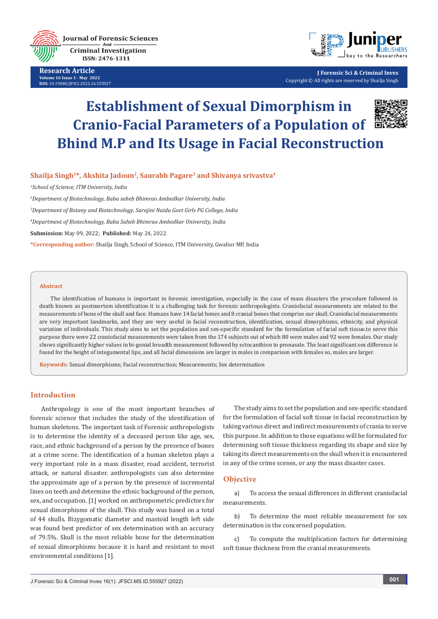**Journal of Forensic Sciences Criminal Investigation** ISSN: 2476-1311

**Research Article Volume 16 Issue 1 - May 2022 DOI:** [10.19080/JFSCI.2022.16.55592](http://dx.doi.org/10.19080/JFSCI.2022.16.555927)7



**J Forensic Sci & Criminal Inves** Copyright © All rights are reserved by Shailja Singh

# **Establishment of Sexual Dimorphism in Cranio-Facial Parameters of a Population of Bhind M.P and Its Usage in Facial Reconstruction**



# Shailja Singh<sup>1\*</sup>, Akshita Jadoun<sup>2</sup>, Saurabh Pagare<sup>3</sup> and Shivanya srivastva<sup>4</sup>

*1 School of Science, ITM University, India*

*2 Department of Biotechnology, Baba saheb Bhimrao Ambedkar University, India*

*3 Department of Botany and Biotechnology, Sarojini Naidu Govt Girls PG College, India*

*4 Department of Biotechnology, Baba Saheb Bhimrao Ambedkar University, India*

**Submission:** May 09, 2022; **Published:** May 24, 2022

**\*Corresponding author:** Shailja Singh, School of Science, ITM University, Gwalior MP, India

#### **Abstract**

The identification of humans is important in forensic investigation, especially in the case of mass disasters the procedure followed in death known as postmortem identification it is a challenging task for forensic anthropologists. Craniofacial measurements are related to the measurements of bone of the skull and face. Humans have 14 facial bones and 8 cranial bones that comprise our skull. Craniofacial measurements are very important landmarks, and they are very useful in facial reconstruction, identification, sexual dimorphisms, ethnicity, and physical variation of individuals. This study aims to set the population and sex-specific standard for the formulation of facial soft tissue.to serve this purpose there were 22 craniofacial measurements were taken from the 174 subjects out of which 80 were males and 92 were females. Our study shows significantly higher values in bi-gonial breadth measurement followed by ectocanthion to pronasale. The least significant sex difference is found for the height of integumental lips, and all facial dimensions are larger in males in comparison with females so, males are larger.

**Keywords:** Sexual dimorphisms; Facial reconstruction; Measurements; Sex determination

### **Introduction**

Anthropology is one of the most important branches of forensic science that includes the study of the identification of human skeletons. The important task of Forensic anthropologists is to determine the identity of a deceased person like age, sex, race, and ethnic background of a person by the presence of bones at a crime scene. The identification of a human skeleton plays a very important role in a mass disaster, road accident, terrorist attack, or natural disaster. anthropologists can also determine the approximate age of a person by the presence of incremental lines on teeth and determine the ethnic background of the person, sex, and occupation. [1] worked on anthropometric predictors for sexual dimorphisms of the skull. This study was based on a total of 44 skulls. Bizygomatic diameter and mastoid length left side was found best predictor of sex determination with an accuracy of 79.5%. Skull is the most reliable bone for the determination of sexual dimorphisms because it is hard and resistant to most environmental conditions [1].

The study aims to set the population and sex-specific standard for the formulation of facial soft tissue in facial reconstruction by taking various direct and indirect measurements of crania to serve this purpose. In addition to those equations will be formulated for determining soft tissue thickness regarding its shape and size by taking its direct measurements on the skull when it is encountered in any of the crime scenes, or any the mass disaster cases.

# **Objective**

a) To access the sexual differences in different craniofacial measurements.

b) To determine the most reliable measurement for sex determination in the concerned population.

c) To compute the multiplication factors for determining soft tissue thickness from the cranial measurements.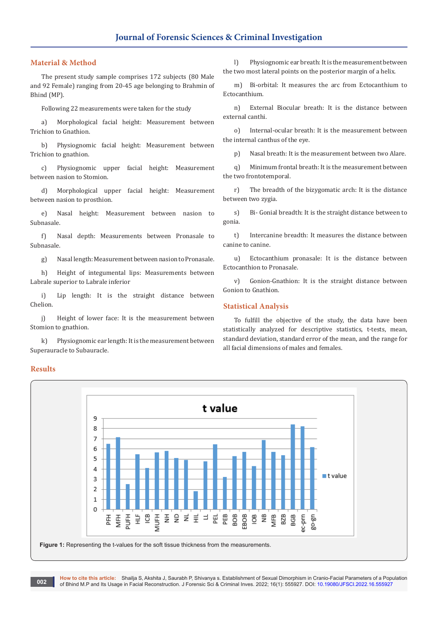# **Material & Method**

The present study sample comprises 172 subjects (80 Male and 92 Female) ranging from 20-45 age belonging to Brahmin of Bhind (MP).

Following 22 measurements were taken for the study

a) Morphological facial height: Measurement between Trichion to Gnathion.

b) Physiognomic facial height: Measurement between Trichion to gnathion.

c) Physiognomic upper facial height: Measurement between nasion to Stomion.

d) Morphological upper facial height: Measurement between nasion to prosthion.

e) Nasal height: Measurement between nasion to Subnasale.

f) Nasal depth: Measurements between Pronasale to Subnasale.

g) Nasal length: Measurement between nasion to Pronasale.

h) Height of integumental lips: Measurements between Labrale superior to Labrale inferior

i) Lip length: It is the straight distance between Chelion.

j) Height of lower face: It is the measurement between Stomion to gnathion.

k) Physiognomic ear length: It is the measurement between Superauracle to Subauracle.

l) Physiognomic ear breath: It is the measurement between the two most lateral points on the posterior margin of a helix.

m) Bi-orbital: It measures the arc from Ectocanthium to Ectocanthium.

n) External Biocular breath: It is the distance between external canthi.

o) Internal-ocular breath: It is the measurement between the internal canthus of the eye.

p) Nasal breath: It is the measurement between two Alare.

q) Minimum frontal breath: It is the measurement between the two frontotemporal.

r) The breadth of the bizygomatic arch: It is the distance between two zygia.

s) Bi- Gonial breadth: It is the straight distance between to gonia.

t) Intercanine breadth: It measures the distance between canine to canine.

u) Ectocanthium pronasale: It is the distance between Ectocanthion to Pronasale.

v) Gonion-Gnathion: It is the straight distance between Gonion to Gnathion.

#### **Statistical Analysis**

To fulfill the objective of the study, the data have been statistically analyzed for descriptive statistics, t-tests, mean, standard deviation, standard error of the mean, and the range for all facial dimensions of males and females.



**How to cite this article:** Shailja S, Akshita J, Saurabh P, Shivanya s. Establishment of Sexual Dimorphism in Cranio-Facial Parameters of a Population of Bhind M.P and Its Usage in Facial Reconstruction. J Forensic Sci & Criminal Inves. 2022; 16(1): 555927. DOI: [10.19080/JFSCI.2022.16.55592](http://dx.doi.org/10.19080/JFSCI.2022.16.555927)7 **002**

#### **Results**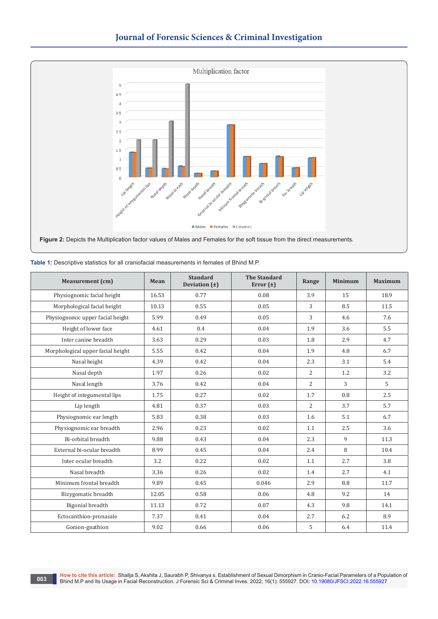

| <b>Measurement</b> (cm)           | Mean  | <b>Standard</b><br>Deviation $(\pm)$ | <b>The Standard</b><br>Error $(\pm)$ | Range          | <b>Minimum</b> | <b>Maximum</b> |
|-----------------------------------|-------|--------------------------------------|--------------------------------------|----------------|----------------|----------------|
| Physiognomic facial height        | 16.53 | 0.77                                 | 0.08                                 | 3.9            | 15             | 18.9           |
| Morphological facial height       | 10.13 | 0.55                                 | 0.05                                 | 3              | 8.5            | 11.5           |
| Physiognomic upper facial height  | 5.99  | 0.49                                 | 0.05                                 | 3              | 4.6            | 7.6            |
| Height of lower face              | 4.61  | 0.4                                  | 0.04                                 | 1.9            | 3.6            | 5.5            |
| Inter canine breadth              | 3.63  | 0.29                                 | 0.03                                 | 1.8            | 2.9            | 4.7            |
| Morphological upper facial height | 5.55  | 0.42                                 | 0.04                                 | 1.9            | 4.8            | 6.7            |
| Nasal height                      | 4.39  | 0.42                                 | 0.04                                 | 2.3            | 3.1            | 5.4            |
| Nasal depth                       | 1.97  | 0.26                                 | 0.02                                 | 2              | 1.2            | 3.2            |
| Nasal length                      | 3.76  | 0.42                                 | 0.04                                 | $\overline{2}$ | 3              | 5              |
| Height of integumental lips       | 1.75  | 0.27                                 | 0.02                                 | 1.7            | 0.8            | 2.5            |
| Lip length                        | 4.81  | 0.37                                 | 0.03                                 | $\overline{2}$ | 3.7            | 5.7            |
| Physiognomic ear length           | 5.83  | 0.38                                 | 0.03                                 | 1.6            | 5.1            | 6.7            |
| Physiognomic ear breadth          | 2.96  | 0.23                                 | 0.02                                 | 1.1            | 2.5            | 3.6            |
| Bi-orbital breadth                | 9.88  | 0.43                                 | 0.04                                 | 2.3            | 9              | 11.3           |
| External bi-ocular breadth        | 8.99  | 0.45                                 | 0.04                                 | 2.4            | 8              | 10.4           |
| Inter ocular breadth              | 3.2   | 0.22                                 | 0.02                                 | 1.1            | 2.7            | 3.8            |
| Nasal breadth                     | 3.36  | 0.26                                 | 0.02                                 | 1.4            | 2.7            | 4.1            |
| Minimum frontal breadth           | 9.89  | 0.45                                 | 0.046                                | 2.9            | 8.8            | 11.7           |
| Bizygomatic breadth               | 12.05 | 0.58                                 | 0.06                                 | 4.8            | 9.2            | 14             |
| Bigonial breadth                  | 11.13 | 0.72                                 | 0.07                                 | 4.3            | 9.8            | 14.1           |
| Ectocanthion-pronasale            | 7.37  | 0.41                                 | 0.04                                 | 2.7            | 6.2            | 8.9            |
| Gonion-gnathion                   | 9.02  | 0.66                                 | 0.06                                 | 5              | 6.4            | 11.4           |

**Table 1:** Descriptive statistics for all craniofacial measurements in females of Bhind M.P.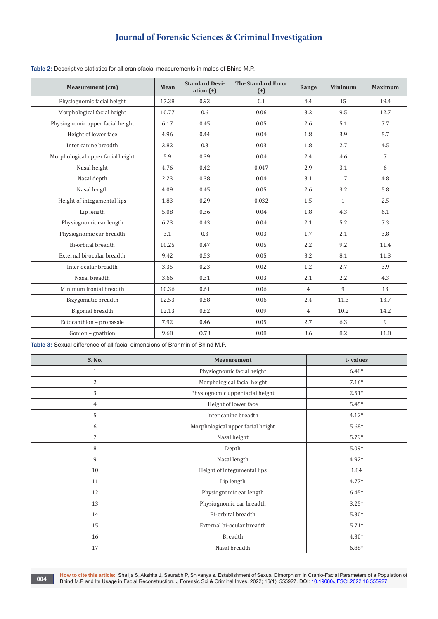| <b>Measurement</b> (cm)           | Mean  | <b>Standard Devi-</b><br>ation $(\pm)$ | <b>The Standard Error</b><br>$(\pm)$ | Range          | <b>Minimum</b>   | <b>Maximum</b> |
|-----------------------------------|-------|----------------------------------------|--------------------------------------|----------------|------------------|----------------|
| Physiognomic facial height        | 17.38 | 0.93                                   | 0.1                                  | 4.4            | 15               | 19.4           |
| Morphological facial height       | 10.77 | 0.6                                    | 0.06                                 | 3.2            | 9.5              | 12.7           |
| Physiognomic upper facial height  | 6.17  | 0.45                                   | 0.05                                 | 2.6            | 5.1              | 7.7            |
| Height of lower face              | 4.96  | 0.44                                   | 0.04                                 | 1.8            | 3.9              | 5.7            |
| Inter canine breadth              | 3.82  | 0.3                                    | 0.03                                 | 1.8            | 2.7              | 4.5            |
| Morphological upper facial height | 5.9   | 0.39                                   | 0.04                                 | 2.4            | 4.6              | $\overline{7}$ |
| Nasal height                      | 4.76  | 0.42                                   | 0.047                                | 2.9            | 3.1              | 6              |
| Nasal depth                       | 2.23  | 0.38                                   | 0.04                                 | 3.1            | 1.7              | 4.8            |
| Nasal length                      | 4.09  | 0.45                                   | 0.05                                 | 2.6            | 3.2              | 5.8            |
| Height of integumental lips       | 1.83  | 0.29                                   | 0.032                                | 1.5            | $\mathbf{1}$     | 2.5            |
| Lip length                        | 5.08  | 0.36                                   | 0.04                                 | 1.8            | 4.3              | 6.1            |
| Physiognomic ear length           | 6.23  | 0.43                                   | 0.04                                 | 2.1            | 5.2              | 7.3            |
| Physiognomic ear breadth          | 3.1   | 0.3                                    | 0.03                                 | 1.7            | 2.1              | 3.8            |
| Bi-orbital breadth                | 10.25 | 0.47                                   | 0.05                                 | 2.2            | 9.2              | 11.4           |
| External bi-ocular breadth        | 9.42  | 0.53                                   | 0.05                                 | 3.2            | 8.1              | 11.3           |
| Inter ocular breadth              | 3.35  | 0.23                                   | 0.02                                 | 1.2            | 2.7              | 3.9            |
| Nasal breadth                     | 3.66  | 0.31                                   | 0.03                                 | 2.1            | $2.2\phantom{0}$ | 4.3            |
| Minimum frontal breadth           | 10.36 | 0.61                                   | 0.06                                 | $\overline{4}$ | 9                | 13             |
| Bizygomatic breadth               | 12.53 | 0.58                                   | 0.06                                 | 2.4            | 11.3             | 13.7           |
| Bigonial breadth                  | 12.13 | 0.82                                   | 0.09                                 | $\overline{4}$ | 10.2             | 14.2           |
| Ectocanthion - pronasale          | 7.92  | 0.46                                   | 0.05                                 | 2.7            | 6.3              | 9              |
| Gonion - gnathion                 | 9.68  | 0.73                                   | 0.08                                 | 3.6            | 8.2              | 11.8           |

**Table 2:** Descriptive statistics for all craniofacial measurements in males of Bhind M.P.

**Table 3:** Sexual difference of all facial dimensions of Brahmin of Bhind M.P.

| S. No.         | <b>Measurement</b>                | t-values |
|----------------|-----------------------------------|----------|
| $\mathbf{1}$   | Physiognomic facial height        | $6.48*$  |
| 2              | Morphological facial height       | $7.16*$  |
| 3              | Physiognomic upper facial height  | $2.51*$  |
| $\overline{4}$ | Height of lower face              | $5.45*$  |
| 5              | Inter canine breadth              | $4.12*$  |
| 6              | Morphological upper facial height | $5.68*$  |
| $\overline{7}$ | Nasal height                      | 5.79*    |
| 8              | Depth                             | $5.09*$  |
| 9              | Nasal length                      | 4.92*    |
| 10             | Height of integumental lips       | 1.84     |
| 11             | Lip length                        | $4.77*$  |
| 12             | Physiognomic ear length           | $6.45*$  |
| 13             | Physiognomic ear breadth          | $3.25*$  |
| 14             | Bi-orbital breadth                | $5.30*$  |
| 15             | External bi-ocular breadth        | $5.71*$  |
| 16             | Breadth                           | $4.30*$  |
| 17             | Nasal breadth                     | 6.88*    |

**How to cite this article:** Shailja S, Akshita J, Saurabh P, Shivanya s. Establishment of Sexual Dimorphism in Cranio-Facial Parameters of a Population of Bhind M.P and Its Usage in Facial Reconstruction. J Forensic Sci & Criminal Inves. 2022; 16(1): 555927. DOI: [10.19080/JFSCI.2022.16.555927](http://dx.doi.org/10.19080/JFSCI.2022.16.555927) **004**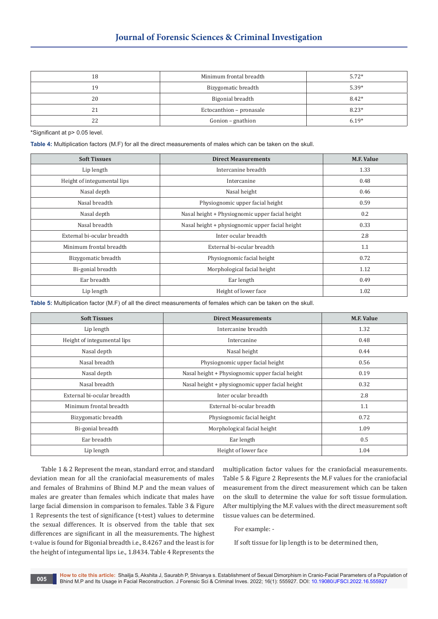# **Journal of Forensic Sciences & Criminal Investigation**

| 18  | Minimum frontal breadth  | $5.72*$ |
|-----|--------------------------|---------|
| 1 Q | Bizygomatic breadth      | $5.39*$ |
| 20  | Bigonial breadth         | $8.42*$ |
| 21  | Ectocanthion - pronasale | $8.23*$ |
| 22  | Gonion - gnathion        | $6.19*$ |

\*Significant at p> 0.05 level.

**Table 4:** Multiplication factors (M.F) for all the direct measurements of males which can be taken on the skull.

| <b>Soft Tissues</b>         | <b>Direct Measurements</b>                      | <b>M.F. Value</b> |
|-----------------------------|-------------------------------------------------|-------------------|
| Lip length                  | Intercanine breadth                             | 1.33              |
| Height of integumental lips | Intercanine                                     | 0.48              |
| Nasal depth                 | Nasal height                                    | 0.46              |
| Nasal breadth               | Physiognomic upper facial height                | 0.59              |
| Nasal depth                 | Nasal height + Physiognomic upper facial height | 0.2               |
| Nasal breadth               | Nasal height + physiognomic upper facial height | 0.33              |
| External bi-ocular breadth  | Inter ocular breadth                            | 2.8               |
| Minimum frontal breadth     | External bi-ocular breadth                      | 1.1               |
| Bizygomatic breadth         | Physiognomic facial height                      | 0.72              |
| Bi-gonial breadth           | Morphological facial height                     | 1.12              |
| Ear breadth                 | Ear length                                      | 0.49              |
| Lip length                  | Height of lower face                            | 1.02              |

**Table 5:** Multiplication factor (M.F) of all the direct measurements of females which can be taken on the skull.

| <b>Soft Tissues</b>         | <b>Direct Measurements</b>                      | <b>M.F. Value</b> |
|-----------------------------|-------------------------------------------------|-------------------|
| Lip length                  | Intercanine breadth                             | 1.32              |
| Height of integumental lips | Intercanine                                     | 0.48              |
| Nasal depth                 | Nasal height                                    | 0.44              |
| Nasal breadth               | Physiognomic upper facial height                | 0.56              |
| Nasal depth                 | Nasal height + Physiognomic upper facial height | 0.19              |
| Nasal breadth               | Nasal height + physiognomic upper facial height | 0.32              |
| External bi-ocular breadth  | Inter ocular breadth                            | 2.8               |
| Minimum frontal breadth     | External bi-ocular breadth                      | 1.1               |
| Bizygomatic breadth         | Physiognomic facial height                      | 0.72              |
| Bi-gonial breadth           | Morphological facial height                     | 1.09              |
| Ear breadth                 | Ear length                                      | 0.5               |
| Lip length                  | Height of lower face                            | 1.04              |

Table 1 & 2 Represent the mean, standard error, and standard deviation mean for all the craniofacial measurements of males and females of Brahmins of Bhind M.P and the mean values of males are greater than females which indicate that males have large facial dimension in comparison to females. Table 3 & Figure 1 Represents the test of significance (t-test) values to determine the sexual differences. It is observed from the table that sex differences are significant in all the measurements. The highest t-value is found for Bigonial breadth i.e., 8.4267 and the least is for the height of integumental lips i.e., 1.8434. Table 4 Represents the

multiplication factor values for the craniofacial measurements. Table 5 & Figure 2 Represents the M.F values for the craniofacial measurement from the direct measurement which can be taken on the skull to determine the value for soft tissue formulation. After multiplying the M.F. values with the direct measurement soft tissue values can be determined.

For example: -

If soft tissue for lip length is to be determined then,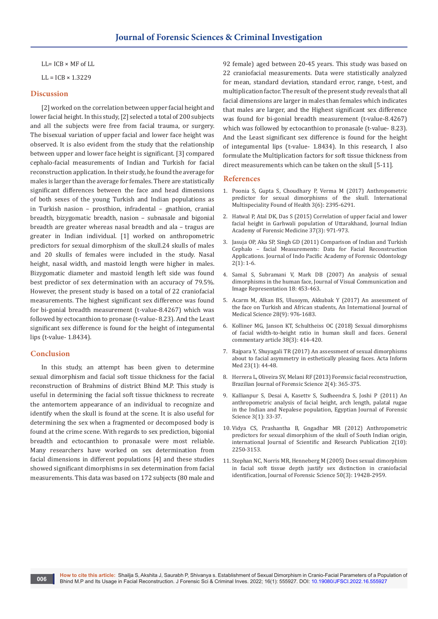LL= ICB × MF of LL

 $LL = ICB \times 1.3229$ 

#### **Discussion**

[2] worked on the correlation between upper facial height and lower facial height. In this study, [2] selected a total of 200 subjects and all the subjects were free from facial trauma, or surgery. The bisexual variation of upper facial and lower face height was observed. It is also evident from the study that the relationship between upper and lower face height is significant. [3] compared cephalo-facial measurements of Indian and Turkish for facial reconstruction application. In their study, he found the average for males is larger than the average for females. There are statistically significant differences between the face and head dimensions of both sexes of the young Turkish and Indian populations as in Turkish nasion – prosthion, infradental – gnathion, cranial breadth, bizygomatic breadth, nasion – subnasale and bigonial breadth are greater whereas nasal breadth and ala – tragus are greater in Indian individual. [1] worked on anthropometric predictors for sexual dimorphism of the skull.24 skulls of males and 20 skulls of females were included in the study. Nasal height, nasal width, and mastoid length were higher in males. Bizygomatic diameter and mastoid length left side was found best predictor of sex determination with an accuracy of 79.5%. However, the present study is based on a total of 22 craniofacial measurements. The highest significant sex difference was found for bi-gonial breadth measurement (t-value-8.4267) which was followed by ectocanthion to pronase (t-value- 8.23). And the Least significant sex difference is found for the height of integumental lips (t-value- 1.8434).

# **Conclusion**

In this study, an attempt has been given to determine sexual dimorphism and facial soft tissue thickness for the facial reconstruction of Brahmins of district Bhind M.P. This study is useful in determining the facial soft tissue thickness to recreate the antemortem appearance of an individual to recognize and identify when the skull is found at the scene. It is also useful for determining the sex when a fragmented or decomposed body is found at the crime scene. With regards to sex prediction, bigonial breadth and ectocanthion to pronasale were most reliable. Many researchers have worked on sex determination from facial dimensions in different populations [4] and these studies showed significant dimorphisms in sex determination from facial measurements. This data was based on 172 subjects (80 male and

92 female) aged between 20-45 years. This study was based on 22 craniofacial measurements. Data were statistically analyzed for mean, standard deviation, standard error, range, t-test, and multiplication factor. The result of the present study reveals that all facial dimensions are larger in males than females which indicates that males are larger, and the Highest significant sex difference was found for bi-gonial breadth measurement (t-value-8.4267) which was followed by ectocanthion to pronasale (t-value- 8.23). And the Least significant sex difference is found for the height of integumental lips (t-value- 1.8434). In this research, I also formulate the Multiplication factors for soft tissue thickness from direct measurements which can be taken on the skull [5-11].

#### **References**

- 1. [Poonia S, Gupta S, Choudhary P, Verma M \(2017\) Anthropometric](https://imjhealth.org/Paper-June-2017/IMJH-JUN-2017-17.pdf)  [predictor for sexual dimorphisms of the skull. International](https://imjhealth.org/Paper-June-2017/IMJH-JUN-2017-17.pdf)  [Multispeciality Found of Health 3\(6\): 2395-6291.](https://imjhealth.org/Paper-June-2017/IMJH-JUN-2017-17.pdf)
- 2. Hatwal P, Atal DK, Das S (2015) Correlation of upper facial and lower facial height in Garhwali population of Uttarakhand, Journal Indian Academy of Forensic Medicine 37(3): 971-973.
- 3. Jasuja OP, Aka SP, Singh GD (2011) Comparison of Indian and Turkish Cephalo – facial Measurements: Data for Facial Reconstruction Applications. Journal of Indo Pacific Academy of Forensic Odontology 2(1): 1-6.
- 4. [Samal S, Subramani V, Mark DB \(2007\) An analysis of sexual](https://digitalcommons.unl.edu/csearticles/95/)  [dimorphisms in the human face, Journal of Visual Communication and](https://digitalcommons.unl.edu/csearticles/95/)  [Image Representation 18: 453-463.](https://digitalcommons.unl.edu/csearticles/95/)
- 5. [Acarm M, Alkan BS, Ulusoym, Akkubak Y \(2017\) An assessment of](https://www.alliedacademies.org/articles/an-assessment-of-the-face-on-turkish-and-african-students.html)  [the face on Turkish and African students, An International Journal of](https://www.alliedacademies.org/articles/an-assessment-of-the-face-on-turkish-and-african-students.html)  [Medical Science 28\(9\): 976-1683.](https://www.alliedacademies.org/articles/an-assessment-of-the-face-on-turkish-and-african-students.html)
- 6. Kolliner MG, Janson KT, Schultheiss OC (2018) Sexual dimorphisms of facial width-to-height ratio in human skull and faces. General commentary article 38(3): 414-420.
- 7. [Rajpara Y, Shuyagali TR \(2017\) An assessment of sexual dimorphisms](https://pubmed.ncbi.nlm.nih.gov/25870491/)  [about to facial asymmetry in esthetically pleasing faces. Acta Inform](https://pubmed.ncbi.nlm.nih.gov/25870491/)  [Med 23\(1\): 44-48.](https://pubmed.ncbi.nlm.nih.gov/25870491/)
- 8. [Herrera L, Oliveira SV, Melani RF \(2013\) Forensic facial reconstruction,](https://pubmed.ncbi.nlm.nih.gov/27258921/)  [Brazilian Journal of Forensic Science 2\(4\): 365-375.](https://pubmed.ncbi.nlm.nih.gov/27258921/)
- 9. [Kallianpur S, Desai A, Kasettv S, Sudheendra S, Joshi P \(2011\) An](https://pubmed.ncbi.nlm.nih.gov/22022137/)  [anthropometric analysis of facial height, arch length, palatal rugae](https://pubmed.ncbi.nlm.nih.gov/22022137/)  [in the Indian and Nepalese population, Egyptian Journal of Forensic](https://pubmed.ncbi.nlm.nih.gov/22022137/)  [Science 3\(1\): 33-37.](https://pubmed.ncbi.nlm.nih.gov/22022137/)
- 10. [Vidya CS, Prashantha B, Gngadhar MR \(2012\) Anthropometric](http://www.ijsrp.org/research-paper-1012/ijsrp-p1071.pdf)  [predictors for sexual dimorphism of the skull of South Indian origin,](http://www.ijsrp.org/research-paper-1012/ijsrp-p1071.pdf)  [international Journal of Scientific and Research Publication 2\(10\):](http://www.ijsrp.org/research-paper-1012/ijsrp-p1071.pdf)  [2250-3153.](http://www.ijsrp.org/research-paper-1012/ijsrp-p1071.pdf)
- 11. [Stephan NC, Norris MR, Henneberg M \(2005\) Does sexual dimorphism](https://pubmed.ncbi.nlm.nih.gov/15932080/)  [in facial soft tissue depth justify sex distinction in craniofacial](https://pubmed.ncbi.nlm.nih.gov/15932080/)  [identification, Journal of Forensic Science 50\(3\): 19428-2959.](https://pubmed.ncbi.nlm.nih.gov/15932080/)